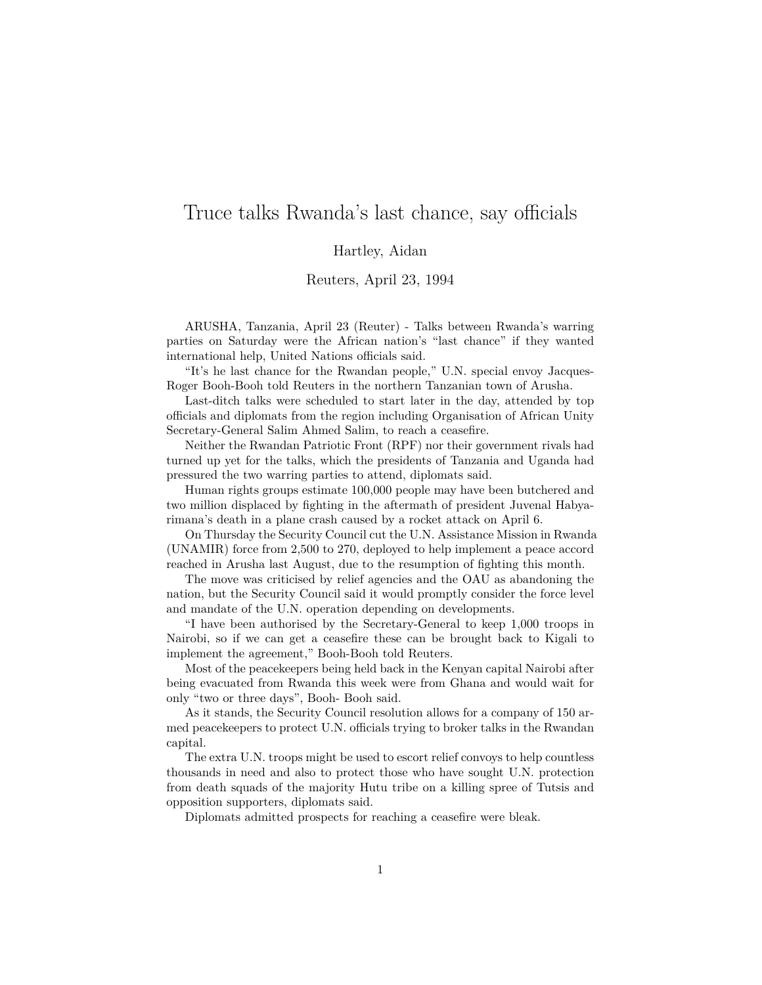## Truce talks Rwanda's last chance, say officials

Hartley, Aidan

Reuters, April 23, 1994

ARUSHA, Tanzania, April 23 (Reuter) - Talks between Rwanda's warring parties on Saturday were the African nation's "last chance" if they wanted international help, United Nations officials said.

"It's he last chance for the Rwandan people," U.N. special envoy Jacques-Roger Booh-Booh told Reuters in the northern Tanzanian town of Arusha.

Last-ditch talks were scheduled to start later in the day, attended by top officials and diplomats from the region including Organisation of African Unity Secretary-General Salim Ahmed Salim, to reach a ceasefire.

Neither the Rwandan Patriotic Front (RPF) nor their government rivals had turned up yet for the talks, which the presidents of Tanzania and Uganda had pressured the two warring parties to attend, diplomats said.

Human rights groups estimate 100,000 people may have been butchered and two million displaced by fighting in the aftermath of president Juvenal Habyarimana's death in a plane crash caused by a rocket attack on April 6.

On Thursday the Security Council cut the U.N. Assistance Mission in Rwanda (UNAMIR) force from 2,500 to 270, deployed to help implement a peace accord reached in Arusha last August, due to the resumption of fighting this month.

The move was criticised by relief agencies and the OAU as abandoning the nation, but the Security Council said it would promptly consider the force level and mandate of the U.N. operation depending on developments.

"I have been authorised by the Secretary-General to keep 1,000 troops in Nairobi, so if we can get a ceasefire these can be brought back to Kigali to implement the agreement," Booh-Booh told Reuters.

Most of the peacekeepers being held back in the Kenyan capital Nairobi after being evacuated from Rwanda this week were from Ghana and would wait for only "two or three days", Booh- Booh said.

As it stands, the Security Council resolution allows for a company of 150 armed peacekeepers to protect U.N. officials trying to broker talks in the Rwandan capital.

The extra U.N. troops might be used to escort relief convoys to help countless thousands in need and also to protect those who have sought U.N. protection from death squads of the majority Hutu tribe on a killing spree of Tutsis and opposition supporters, diplomats said.

Diplomats admitted prospects for reaching a ceasefire were bleak.